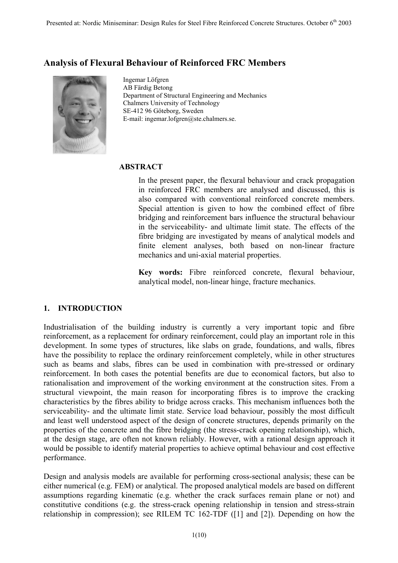# **Analysis of Flexural Behaviour of Reinforced FRC Members**



Ingemar Löfgren AB Färdig Betong Department of Structural Engineering and Mechanics Chalmers University of Technology SE-412 96 Göteborg, Sweden E-mail: ingemar.lofgren@ste.chalmers.se.

### **ABSTRACT**

In the present paper, the flexural behaviour and crack propagation in reinforced FRC members are analysed and discussed, this is also compared with conventional reinforced concrete members. Special attention is given to how the combined effect of fibre bridging and reinforcement bars influence the structural behaviour in the serviceability- and ultimate limit state. The effects of the fibre bridging are investigated by means of analytical models and finite element analyses, both based on non-linear fracture mechanics and uni-axial material properties.

**Key words:** Fibre reinforced concrete, flexural behaviour, analytical model, non-linear hinge, fracture mechanics.

## **1. INTRODUCTION**

Industrialisation of the building industry is currently a very important topic and fibre reinforcement, as a replacement for ordinary reinforcement, could play an important role in this development. In some types of structures, like slabs on grade, foundations, and walls, fibres have the possibility to replace the ordinary reinforcement completely, while in other structures such as beams and slabs, fibres can be used in combination with pre-stressed or ordinary reinforcement. In both cases the potential benefits are due to economical factors, but also to rationalisation and improvement of the working environment at the construction sites. From a structural viewpoint, the main reason for incorporating fibres is to improve the cracking characteristics by the fibres ability to bridge across cracks. This mechanism influences both the serviceability- and the ultimate limit state. Service load behaviour, possibly the most difficult and least well understood aspect of the design of concrete structures, depends primarily on the properties of the concrete and the fibre bridging (the stress-crack opening relationship), which, at the design stage, are often not known reliably. However, with a rational design approach it would be possible to identify material properties to achieve optimal behaviour and cost effective performance.

Design and analysis models are available for performing cross-sectional analysis; these can be either numerical (e.g. FEM) or analytical. The proposed analytical models are based on different assumptions regarding kinematic (e.g. whether the crack surfaces remain plane or not) and constitutive conditions (e.g. the stress-crack opening relationship in tension and stress-strain relationship in compression); see RILEM TC 162-TDF ([1] and [2]). Depending on how the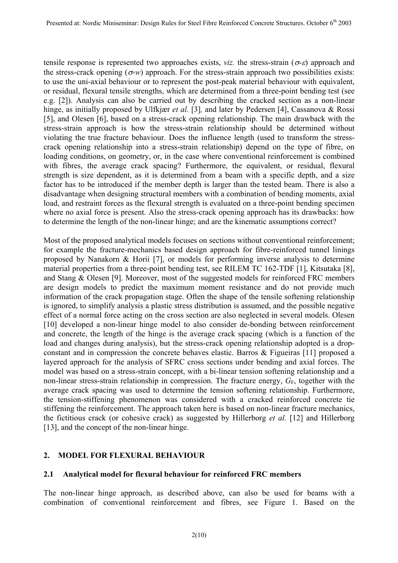tensile response is represented two approaches exists, *viz*. the stress-strain ( $\sigma$ - $\varepsilon$ ) approach and the stress-crack opening  $(\sigma w)$  approach. For the stress-strain approach two possibilities exists: to use the uni-axial behaviour or to represent the post-peak material behaviour with equivalent, or residual, flexural tensile strengths, which are determined from a three-point bending test (see e.g. [2]). Analysis can also be carried out by describing the cracked section as a non-linear hinge, as initially proposed by Ulfkjær *et al.* [3], and later by Pedersen [4], Cassanova & Rossi [5], and Olesen [6], based on a stress-crack opening relationship. The main drawback with the stress-strain approach is how the stress-strain relationship should be determined without violating the true fracture behaviour. Does the influence length (used to transform the stresscrack opening relationship into a stress-strain relationship) depend on the type of fibre, on loading conditions, on geometry, or, in the case where conventional reinforcement is combined with fibres, the average crack spacing? Furthermore, the equivalent, or residual, flexural strength is size dependent, as it is determined from a beam with a specific depth, and a size factor has to be introduced if the member depth is larger than the tested beam. There is also a disadvantage when designing structural members with a combination of bending moments, axial load, and restraint forces as the flexural strength is evaluated on a three-point bending specimen where no axial force is present. Also the stress-crack opening approach has its drawbacks: how to determine the length of the non-linear hinge; and are the kinematic assumptions correct?

Most of the proposed analytical models focuses on sections without conventional reinforcement; for example the fracture-mechanics based design approach for fibre-reinforced tunnel linings proposed by Nanakorn & Horii [7], or models for performing inverse analysis to determine material properties from a three-point bending test, see RILEM TC 162-TDF [1], Kitsutaka [8], and Stang & Olesen [9]. Moreover, most of the suggested models for reinforced FRC members are design models to predict the maximum moment resistance and do not provide much information of the crack propagation stage. Often the shape of the tensile softening relationship is ignored, to simplify analysis a plastic stress distribution is assumed, and the possible negative effect of a normal force acting on the cross section are also neglected in several models. Olesen [10] developed a non-linear hinge model to also consider de-bonding between reinforcement and concrete, the length of the hinge is the average crack spacing (which is a function of the load and changes during analysis), but the stress-crack opening relationship adopted is a dropconstant and in compression the concrete behaves elastic. Barros & Figueiras [11] proposed a layered approach for the analysis of SFRC cross sections under bending and axial forces. The model was based on a stress-strain concept, with a bi-linear tension softening relationship and a non-linear stress-strain relationship in compression. The fracture energy, *G*<sub>F</sub>, together with the average crack spacing was used to determine the tension softening relationship. Furthermore, the tension-stiffening phenomenon was considered with a cracked reinforced concrete tie stiffening the reinforcement. The approach taken here is based on non-linear fracture mechanics, the fictitious crack (or cohesive crack) as suggested by Hillerborg *et al.* [12] and Hillerborg [13], and the concept of the non-linear hinge.

## **2. MODEL FOR FLEXURAL BEHAVIOUR**

## **2.1 Analytical model for flexural behaviour for reinforced FRC members**

The non-linear hinge approach, as described above, can also be used for beams with a combination of conventional reinforcement and fibres, see Figure 1. Based on the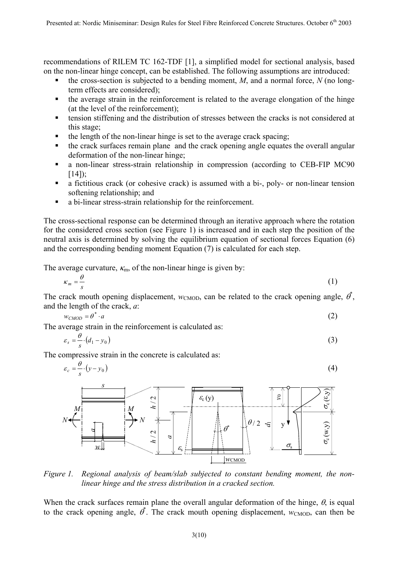recommendations of RILEM TC 162-TDF [1], a simplified model for sectional analysis, based on the non-linear hinge concept, can be established. The following assumptions are introduced:

- the cross-section is subjected to a bending moment, *M*, and a normal force, *N* (no longterm effects are considered);
- the average strain in the reinforcement is related to the average elongation of the hinge (at the level of the reinforcement);
- tension stiffening and the distribution of stresses between the cracks is not considered at this stage;
- the length of the non-linear hinge is set to the average crack spacing;
- the crack surfaces remain plane and the crack opening angle equates the overall angular deformation of the non-linear hinge;
- a non-linear stress-strain relationship in compression (according to CEB-FIP MC90  $[14]$ :
- a fictitious crack (or cohesive crack) is assumed with a bi-, poly- or non-linear tension softening relationship; and
- a bi-linear stress-strain relationship for the reinforcement.

The cross-sectional response can be determined through an iterative approach where the rotation for the considered cross section (see Figure 1) is increased and in each step the position of the neutral axis is determined by solving the equilibrium equation of sectional forces Equation (6) and the corresponding bending moment Equation (7) is calculated for each step.

The average curvature,  $\kappa_{\rm m}$ , of the non-linear hinge is given by:

$$
\kappa_m = \frac{\theta}{s} \tag{1}
$$

The crack mouth opening displacement,  $w_{\text{CMOD}}$ , can be related to the crack opening angle,  $\vec{\theta}$ , and the length of the crack, *a*:

$$
w_{CMOD} = \theta^* \cdot a \tag{2}
$$

The average strain in the reinforcement is calculated as:

$$
\varepsilon_s = \frac{\theta}{s} \cdot (d_1 - y_0) \tag{3}
$$

The compressive strain in the concrete is calculated as:

$$
\varepsilon_c = \frac{\theta}{s} \cdot (y - y_0) \tag{4}
$$



*Figure 1. Regional analysis of beam/slab subjected to constant bending moment, the nonlinear hinge and the stress distribution in a cracked section.* 

When the crack surfaces remain plane the overall angular deformation of the hinge,  $\theta$ , is equal to the crack opening angle,  $\vec{\theta}$ . The crack mouth opening displacement,  $w_{\text{CMOD}}$ , can then be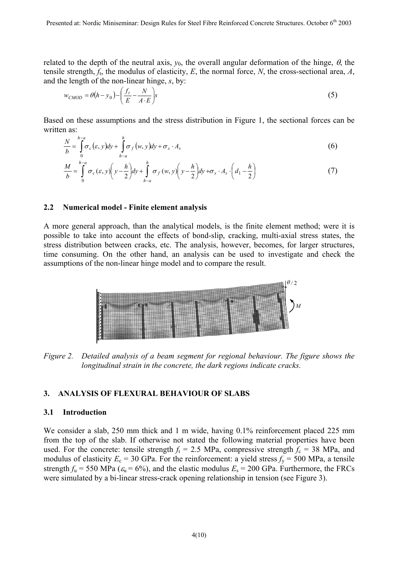related to the depth of the neutral axis,  $y_0$ , the overall angular deformation of the hinge,  $\theta$ , the tensile strength, *f*t, the modulus of elasticity, *E*, the normal force, *N*, the cross-sectional area, *A*, and the length of the non-linear hinge, *s*, by:

$$
w_{CMOD} = \theta(h - y_0) - \left(\frac{f_t}{E} - \frac{N}{A \cdot E}\right)s
$$
\n(5)

Based on these assumptions and the stress distribution in Figure 1, the sectional forces can be written as:

$$
\frac{N}{b} = \int_{0}^{h-a} \sigma_c(\varepsilon, y) dy + \int_{h-a}^{h} \sigma_f(w, y) dy + \sigma_s \cdot A_s \tag{6}
$$

$$
\frac{M}{b} = \int_{0}^{h-a} \sigma_c(\varepsilon, y) \left( y - \frac{h}{2} \right) dy + \int_{h-a}^{h} \sigma_f(w, y) \left( y - \frac{h}{2} \right) dy + \sigma_s \cdot A_s \cdot \left( d_1 - \frac{h}{2} \right)
$$
(7)

### **2.2 Numerical model - Finite element analysis**

A more general approach, than the analytical models, is the finite element method; were it is possible to take into account the effects of bond-slip, cracking, multi-axial stress states, the stress distribution between cracks, etc. The analysis, however, becomes, for larger structures, time consuming. On the other hand, an analysis can be used to investigate and check the assumptions of the non-linear hinge model and to compare the result.



*Figure 2.* Detailed analysis of a beam segment for regional behaviour. The figure shows the *longitudinal strain in the concrete, the dark regions indicate cracks.* 

#### **3. ANALYSIS OF FLEXURAL BEHAVIOUR OF SLABS**

### **3.1 Introduction**

We consider a slab, 250 mm thick and 1 m wide, having 0.1% reinforcement placed 225 mm from the top of the slab. If otherwise not stated the following material properties have been used. For the concrete: tensile strength  $f<sub>t</sub> = 2.5$  MPa, compressive strength  $f<sub>c</sub> = 38$  MPa, and modulus of elasticity  $E_c = 30$  GPa. For the reinforcement: a yield stress  $f_y = 500$  MPa, a tensile strength  $f_u = 550 \text{ MPa } (\varepsilon_u = 6\%)$ , and the elastic modulus  $E_s = 200 \text{ GPa}$ . Furthermore, the FRCs were simulated by a bi-linear stress-crack opening relationship in tension (see Figure 3).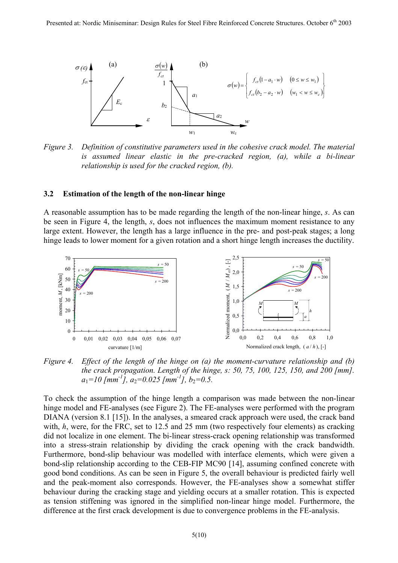

*Figure 3. Definition of constitutive parameters used in the cohesive crack model. The material is assumed linear elastic in the pre-cracked region, (a), while a bi-linear relationship is used for the cracked region, (b).*

#### **3.2 Estimation of the length of the non-linear hinge**

A reasonable assumption has to be made regarding the length of the non-linear hinge, *s*. As can be seen in Figure 4, the length, *s*, does not influences the maximum moment resistance to any large extent. However, the length has a large influence in the pre- and post-peak stages; a long hinge leads to lower moment for a given rotation and a short hinge length increases the ductility.



*Figure 4. Effect of the length of the hinge on (a) the moment-curvature relationship and (b) the crack propagation. Length of the hinge, s: 50, 75, 100, 125, 150, and 200 [mm].*   $a_1=10$  [mm<sup>-1</sup>],  $a_2=0.025$  [mm<sup>-1</sup>],  $b_2=0.5$ .

To check the assumption of the hinge length a comparison was made between the non-linear hinge model and FE-analyses (see Figure 2). The FE-analyses were performed with the program DIANA (version 8.1 [15]). In the analyses, a smeared crack approach were used, the crack band with, *h*, were, for the FRC, set to 12.5 and 25 mm (two respectively four elements) as cracking did not localize in one element. The bi-linear stress-crack opening relationship was transformed into a stress-strain relationship by dividing the crack opening with the crack bandwidth. Furthermore, bond-slip behaviour was modelled with interface elements, which were given a bond-slip relationship according to the CEB-FIP MC90 [14], assuming confined concrete with good bond conditions. As can be seen in Figure 5, the overall behaviour is predicted fairly well and the peak-moment also corresponds. However, the FE-analyses show a somewhat stiffer behaviour during the cracking stage and yielding occurs at a smaller rotation. This is expected as tension stiffening was ignored in the simplified non-linear hinge model. Furthermore, the difference at the first crack development is due to convergence problems in the FE-analysis.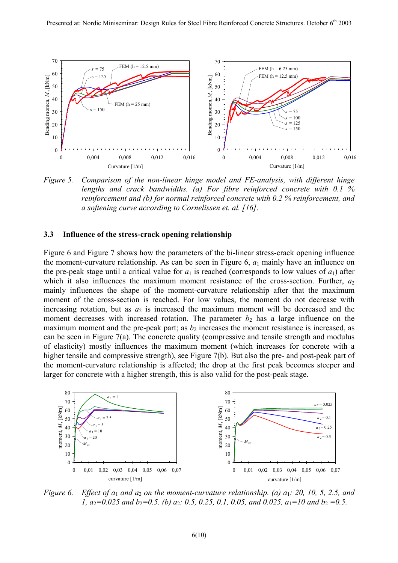

*Figure 5. Comparison of the non-linear hinge model and FE-analysis, with different hinge lengths and crack bandwidths. (a) For fibre reinforced concrete with 0.1 % reinforcement and (b) for normal reinforced concrete with 0.2 % reinforcement, and a softening curve according to Cornelissen et. al. [16].* 

#### **3.3 Influence of the stress-crack opening relationship**

Figure 6 and Figure 7 shows how the parameters of the bi-linear stress-crack opening influence the moment-curvature relationship. As can be seen in Figure 6,  $a_1$  mainly have an influence on the pre-peak stage until a critical value for  $a_1$  is reached (corresponds to low values of  $a_1$ ) after which it also influences the maximum moment resistance of the cross-section. Further,  $a_2$ mainly influences the shape of the moment-curvature relationship after that the maximum moment of the cross-section is reached. For low values, the moment do not decrease with increasing rotation, but as  $a_2$  is increased the maximum moment will be decreased and the moment decreases with increased rotation. The parameter  $b_2$  has a large influence on the maximum moment and the pre-peak part; as  $b_2$  increases the moment resistance is increased, as can be seen in Figure 7(a). The concrete quality (compressive and tensile strength and modulus of elasticity) mostly influences the maximum moment (which increases for concrete with a higher tensile and compressive strength), see Figure 7(b). But also the pre- and post-peak part of the moment-curvature relationship is affected; the drop at the first peak becomes steeper and larger for concrete with a higher strength, this is also valid for the post-peak stage.



*Figure 6. Effect of a*1 *and a*2 *on the moment-curvature relationship. (a) a*1*: 20, 10, 5, 2.5, and 1,*  $a_2=0.025$  and  $b_2=0.5$ . (b)  $a_2$ : 0.5, 0.25, 0.1, 0.05, and 0.025,  $a_1=10$  and  $b_2=0.5$ .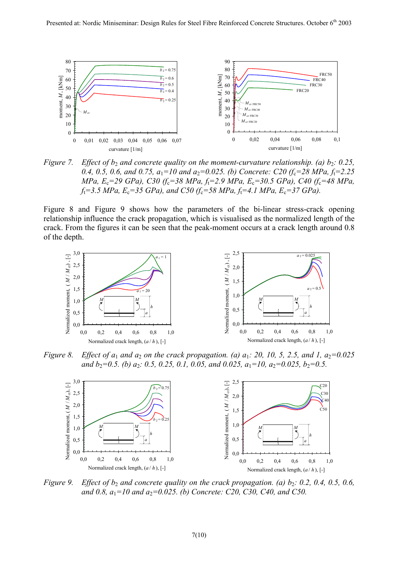

*Figure 7. Effect of b<sub>2</sub> and concrete quality on the moment-curvature relationship. (a) b<sub>2</sub>: 0.25, 0.4, 0.5, 0.6, and 0.75, a*<sub>1</sub>=10 *and a*<sub>2</sub>=0.025. *(b)* Concrete: C20 *(f<sub>c</sub>*=28 *MPa, f<sub>t</sub>*=2.25 *MPa, E*c*=29 GPa), C30 (f*c*=38 MPa, f*t*=2.9 MPa, E*c*=30.5 GPa), C40 (f*c*=48 MPa,*   $f_t = 3.5 \, MPa$ ,  $E_c = 35 \, GPa$ ), and C50 ( $f_c = 58 \, MPa$ ,  $f_t = 4.1 \, MPa$ ,  $E_c = 37 \, GPa$ ).

Figure 8 and Figure 9 shows how the parameters of the bi-linear stress-crack opening relationship influence the crack propagation, which is visualised as the normalized length of the crack. From the figures it can be seen that the peak-moment occurs at a crack length around 0.8 of the depth.



*Figure 8. Effect of a<sub>1</sub> and a<sub>2</sub> on the crack propagation. (a) a<sub>1</sub>: 20, 10, 5, 2.5, and 1, a<sub>2</sub>=0.025 and*  $b_2=0.5$ . (b)  $a_2$ : 0.5, 0.25, 0.1, 0.05, and 0.025,  $a_1=10$ ,  $a_2=0.025$ ,  $b_2=0.5$ .



*Figure 9. Effect of b<sub>2</sub> and concrete quality on the crack propagation. (a) b<sub>2</sub>: 0.2, 0.4, 0.5, 0.6,*  $\overline{a}$ *and 0.8, a*<sub>1</sub>=10 *and a*<sub>2</sub>=0.025. (b) Concrete: C20, C30, C40, and C50.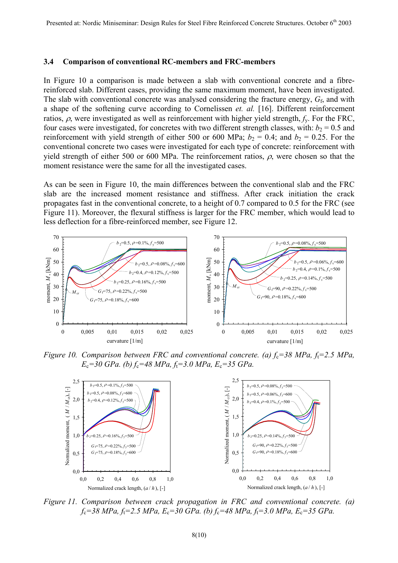### **3.4 Comparison of conventional RC-members and FRC-members**

In Figure 10 a comparison is made between a slab with conventional concrete and a fibrereinforced slab. Different cases, providing the same maximum moment, have been investigated. The slab with conventional concrete was analysed considering the fracture energy, *G*f, and with a shape of the softening curve according to Cornelissen *et. al.* [16]. Different reinforcement ratios, ρ, were investigated as well as reinforcement with higher yield strength, *f*y. For the FRC, four cases were investigated, for concretes with two different strength classes, with:  $b_2 = 0.5$  and reinforcement with yield strength of either 500 or 600 MPa;  $b_2 = 0.4$ ; and  $b_2 = 0.25$ . For the conventional concrete two cases were investigated for each type of concrete: reinforcement with yield strength of either 500 or 600 MPa. The reinforcement ratios,  $\rho$ , were chosen so that the moment resistance were the same for all the investigated cases.

As can be seen in Figure 10, the main differences between the conventional slab and the FRC slab are the increased moment resistance and stiffness. After crack initiation the crack propagates fast in the conventional concrete, to a height of 0.7 compared to 0.5 for the FRC (see Figure 11). Moreover, the flexural stiffness is larger for the FRC member, which would lead to less deflection for a fibre-reinforced member, see Figure 12.



*Figure 10. Comparison between FRC and conventional concrete. (a)*  $f_c$ =38 MPa,  $f_t$ =2.5 MPa, *E*c*=30 GPa. (b) f*c*=48 MPa, f*t*=3.0 MPa, E*c*=35 GPa.* 



*Figure 11. Comparison between crack propagation in FRC and conventional concrete. (a) f*c*=38 MPa, f*t*=2.5 MPa, E*c*=30 GPa. (b) f*c*=48 MPa, f*t*=3.0 MPa, E*c*=35 GPa.*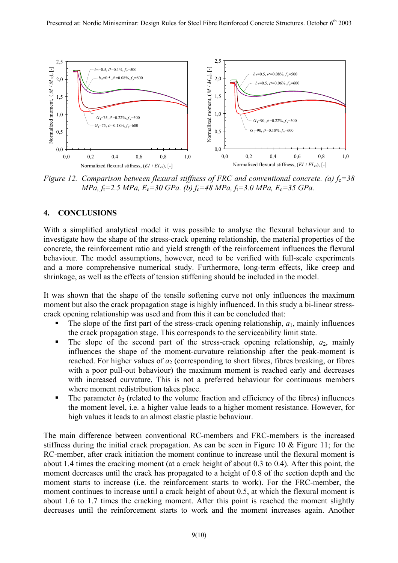

*Figure 12. Comparison between flexural stiffness of FRC and conventional concrete. (a)*  $f_c = 38$ *MPa, f*t*=2.5 MPa, E*c*=30 GPa. (b) f*c*=48 MPa, f*t*=3.0 MPa, E*c*=35 GPa.* 

## **4. CONCLUSIONS**

With a simplified analytical model it was possible to analyse the flexural behaviour and to investigate how the shape of the stress-crack opening relationship, the material properties of the concrete, the reinforcement ratio and yield strength of the reinforcement influences the flexural behaviour. The model assumptions, however, need to be verified with full-scale experiments and a more comprehensive numerical study. Furthermore, long-term effects, like creep and shrinkage, as well as the effects of tension stiffening should be included in the model.

It was shown that the shape of the tensile softening curve not only influences the maximum moment but also the crack propagation stage is highly influenced. In this study a bi-linear stresscrack opening relationship was used and from this it can be concluded that:

- The slope of the first part of the stress-crack opening relationship,  $a_1$ , mainly influences the crack propagation stage. This corresponds to the serviceability limit state.
- The slope of the second part of the stress-crack opening relationship,  $a_2$ , mainly influences the shape of the moment-curvature relationship after the peak-moment is reached. For higher values of  $a_2$  (corresponding to short fibres, fibres breaking, or fibres with a poor pull-out behaviour) the maximum moment is reached early and decreases with increased curvature. This is not a preferred behaviour for continuous members where moment redistribution takes place.
- The parameter  $b_2$  (related to the volume fraction and efficiency of the fibres) influences the moment level, i.e. a higher value leads to a higher moment resistance. However, for high values it leads to an almost elastic plastic behaviour.

The main difference between conventional RC-members and FRC-members is the increased stiffness during the initial crack propagation. As can be seen in Figure 10 & Figure 11; for the RC-member, after crack initiation the moment continue to increase until the flexural moment is about 1.4 times the cracking moment (at a crack height of about 0.3 to 0.4). After this point, the moment decreases until the crack has propagated to a height of 0.8 of the section depth and the moment starts to increase (i.e. the reinforcement starts to work). For the FRC-member, the moment continues to increase until a crack height of about 0.5, at which the flexural moment is about 1.6 to 1.7 times the cracking moment. After this point is reached the moment slightly decreases until the reinforcement starts to work and the moment increases again. Another